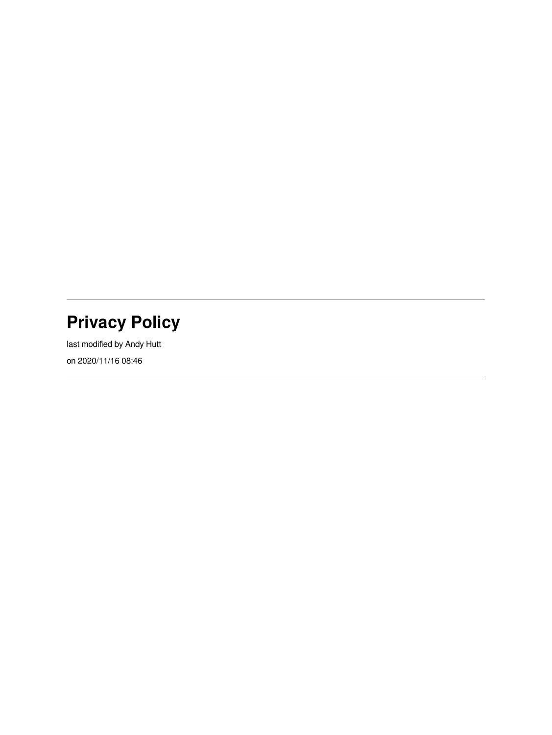## **Privacy Policy**

last modified by Andy Hutt on 2020/11/16 08:46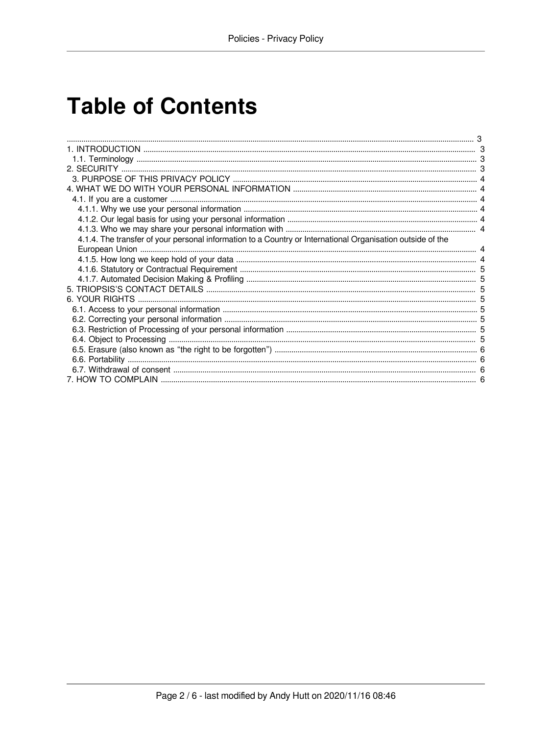# **Table of Contents**

| 4.1.4. The transfer of your personal information to a Country or International Organisation outside of the |  |
|------------------------------------------------------------------------------------------------------------|--|
|                                                                                                            |  |
|                                                                                                            |  |
|                                                                                                            |  |
|                                                                                                            |  |
|                                                                                                            |  |
|                                                                                                            |  |
|                                                                                                            |  |
|                                                                                                            |  |
|                                                                                                            |  |
|                                                                                                            |  |
|                                                                                                            |  |
|                                                                                                            |  |
|                                                                                                            |  |
|                                                                                                            |  |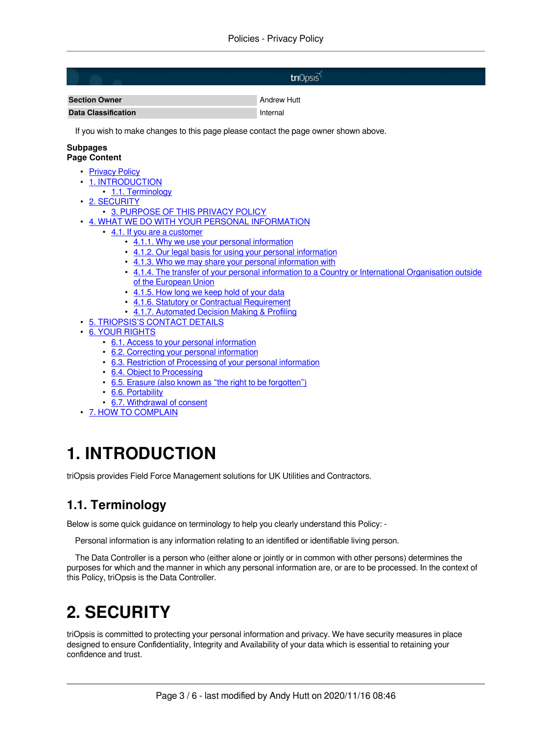|                                                                                                                                                                                                           | triOpsis <sup>*</sup>                                                                                 |  |
|-----------------------------------------------------------------------------------------------------------------------------------------------------------------------------------------------------------|-------------------------------------------------------------------------------------------------------|--|
| <b>Section Owner</b>                                                                                                                                                                                      | <b>Andrew Hutt</b>                                                                                    |  |
| <b>Data Classification</b>                                                                                                                                                                                | Internal                                                                                              |  |
| If you wish to make changes to this page please contact the page owner shown above.                                                                                                                       |                                                                                                       |  |
| Subpages<br><b>Page Content</b>                                                                                                                                                                           |                                                                                                       |  |
| • Privacy Policy<br>1. INTRODUCTION<br>• 1.1. Terminology                                                                                                                                                 |                                                                                                       |  |
| • 2. SECURITY<br>• 3. PURPOSE OF THIS PRIVACY POLICY<br>• 4. WHAT WE DO WITH YOUR PERSONAL INFORMATION                                                                                                    |                                                                                                       |  |
| • 4.1. If you are a customer<br>• 4.1.1. Why we use your personal information<br>• 4.1.2. Our legal basis for using your personal information<br>• 4.1.3. Who we may share your personal information with |                                                                                                       |  |
| of the European Union                                                                                                                                                                                     | • 4.1.4. The transfer of your personal information to a Country or International Organisation outside |  |
| • 4.1.5. How long we keep hold of your data<br>• 4.1.6. Statutory or Contractual Requirement<br>• 4.1.7. Automated Decision Making & Profiling                                                            |                                                                                                       |  |
| • 5. TRIOPSIS'S CONTACT DETAILS<br>• 6. YOUR RIGHTS                                                                                                                                                       |                                                                                                       |  |
| • 6.1. Access to your personal information<br>• 6.2. Correcting your personal information                                                                                                                 |                                                                                                       |  |

- [6.2. Correcting your personal information](#page-4-12)
- [6.3. Restriction of Processing of your personal information](#page-4-13) • [6.4. Object to Processing](#page-4-14)
- [6.5. Erasure \(also known as "the right to be forgotten"\)](#page-5-4)
- [6.6. Portability](#page-5-5)
- [6.7. Withdrawal of consent](#page-5-6)
- <span id="page-2-0"></span>• [7. HOW TO COMPLAIN](#page-5-7)

## <span id="page-2-4"></span><span id="page-2-1"></span>**1. INTRODUCTION**

triOpsis provides Field Force Management solutions for UK Utilities and Contractors.

## <span id="page-2-5"></span><span id="page-2-2"></span>**1.1. Terminology**

Below is some quick guidance on terminology to help you clearly understand this Policy: -

Personal information is any information relating to an identified or identifiable living person.

The Data Controller is a person who (either alone or jointly or in common with other persons) determines the purposes for which and the manner in which any personal information are, or are to be processed. In the context of this Policy, triOpsis is the Data Controller.

## <span id="page-2-6"></span><span id="page-2-3"></span>**2. SECURITY**

triOpsis is committed to protecting your personal information and privacy. We have security measures in place designed to ensure Confidentiality, Integrity and Availability of your data which is essential to retaining your confidence and trust.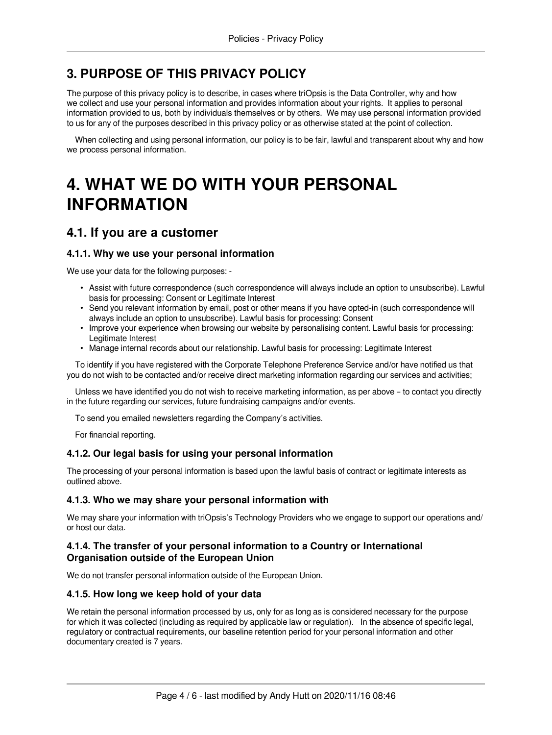### <span id="page-3-0"></span>**3. PURPOSE OF THIS PRIVACY POLICY**

The purpose of this privacy policy is to describe, in cases where triOpsis is the Data Controller, why and how we collect and use your personal information and provides information about your rights. It applies to personal information provided to us, both by individuals themselves or by others. We may use personal information provided to us for any of the purposes described in this privacy policy or as otherwise stated at the point of collection.

When collecting and using personal information, our policy is to be fair, lawful and transparent about why and how we process personal information.

## <span id="page-3-8"></span><span id="page-3-1"></span>**4. WHAT WE DO WITH YOUR PERSONAL INFORMATION**

### <span id="page-3-9"></span><span id="page-3-2"></span>**4.1. If you are a customer**

#### <span id="page-3-10"></span><span id="page-3-3"></span>**4.1.1. Why we use your personal information**

We use your data for the following purposes: -

- Assist with future correspondence (such correspondence will always include an option to unsubscribe). Lawful basis for processing: Consent or Legitimate Interest
- Send you relevant information by email, post or other means if you have opted-in (such correspondence will always include an option to unsubscribe). Lawful basis for processing: Consent
- Improve your experience when browsing our website by personalising content. Lawful basis for processing: Legitimate Interest
- Manage internal records about our relationship. Lawful basis for processing: Legitimate Interest

To identify if you have registered with the Corporate Telephone Preference Service and/or have notified us that you do not wish to be contacted and/or receive direct marketing information regarding our services and activities;

Unless we have identified you do not wish to receive marketing information, as per above – to contact you directly in the future regarding our services, future fundraising campaigns and/or events.

To send you emailed newsletters regarding the Company's activities.

For financial reporting.

#### <span id="page-3-11"></span><span id="page-3-4"></span>**4.1.2. Our legal basis for using your personal information**

The processing of your personal information is based upon the lawful basis of contract or legitimate interests as outlined above.

#### <span id="page-3-12"></span><span id="page-3-5"></span>**4.1.3. Who we may share your personal information with**

We may share your information with triOpsis's Technology Providers who we engage to support our operations and/ or host our data.

#### <span id="page-3-13"></span><span id="page-3-6"></span>**4.1.4. The transfer of your personal information to a Country or International Organisation outside of the European Union**

We do not transfer personal information outside of the European Union.

#### <span id="page-3-14"></span><span id="page-3-7"></span>**4.1.5. How long we keep hold of your data**

We retain the personal information processed by us, only for as long as is considered necessary for the purpose for which it was collected (including as required by applicable law or regulation). In the absence of specific legal, regulatory or contractual requirements, our baseline retention period for your personal information and other documentary created is 7 years.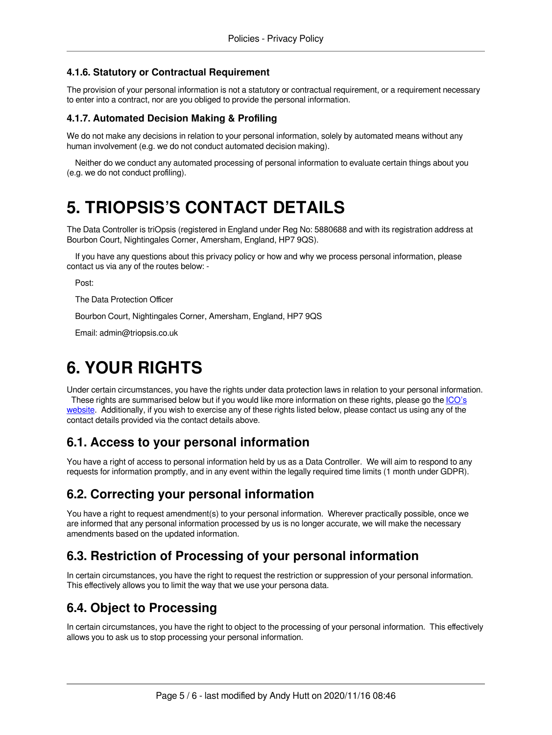#### <span id="page-4-0"></span>**4.1.6. Statutory or Contractual Requirement**

The provision of your personal information is not a statutory or contractual requirement, or a requirement necessary to enter into a contract, nor are you obliged to provide the personal information.

#### <span id="page-4-8"></span><span id="page-4-1"></span>**4.1.7. Automated Decision Making & Profiling**

We do not make any decisions in relation to your personal information, solely by automated means without any human involvement (e.g. we do not conduct automated decision making).

Neither do we conduct any automated processing of personal information to evaluate certain things about you (e.g. we do not conduct profiling).

## <span id="page-4-9"></span><span id="page-4-2"></span>**5. TRIOPSIS'S CONTACT DETAILS**

The Data Controller is triOpsis (registered in England under Reg No: 5880688 and with its registration address at Bourbon Court, Nightingales Corner, Amersham, England, HP7 9QS).

If you have any questions about this privacy policy or how and why we process personal information, please contact us via any of the routes below: -

Post:

The Data Protection Officer

Bourbon Court, Nightingales Corner, Amersham, England, HP7 9QS

Email: admin@triopsis.co.uk

## <span id="page-4-10"></span><span id="page-4-3"></span>**6. YOUR RIGHTS**

Under certain circumstances, you have the rights under data protection laws in relation to your personal information. These rights are summarised below but if you would like more information on these rights, please go the [ICO's](https://ico.org.uk/for-organisations/guide-to-the-general-data-protection-regulation-gdpr/individual-rights/) [website](https://ico.org.uk/for-organisations/guide-to-the-general-data-protection-regulation-gdpr/individual-rights/). Additionally, if you wish to exercise any of these rights listed below, please contact us using any of the contact details provided via the contact details above.

### <span id="page-4-11"></span><span id="page-4-4"></span>**6.1. Access to your personal information**

You have a right of access to personal information held by us as a Data Controller. We will aim to respond to any requests for information promptly, and in any event within the legally required time limits (1 month under GDPR).

### <span id="page-4-12"></span><span id="page-4-5"></span>**6.2. Correcting your personal information**

You have a right to request amendment(s) to your personal information. Wherever practically possible, once we are informed that any personal information processed by us is no longer accurate, we will make the necessary amendments based on the updated information.

### <span id="page-4-13"></span><span id="page-4-6"></span>**6.3. Restriction of Processing of your personal information**

In certain circumstances, you have the right to request the restriction or suppression of your personal information. This effectively allows you to limit the way that we use your persona data.

### <span id="page-4-14"></span><span id="page-4-7"></span>**6.4. Object to Processing**

In certain circumstances, you have the right to object to the processing of your personal information. This effectively allows you to ask us to stop processing your personal information.